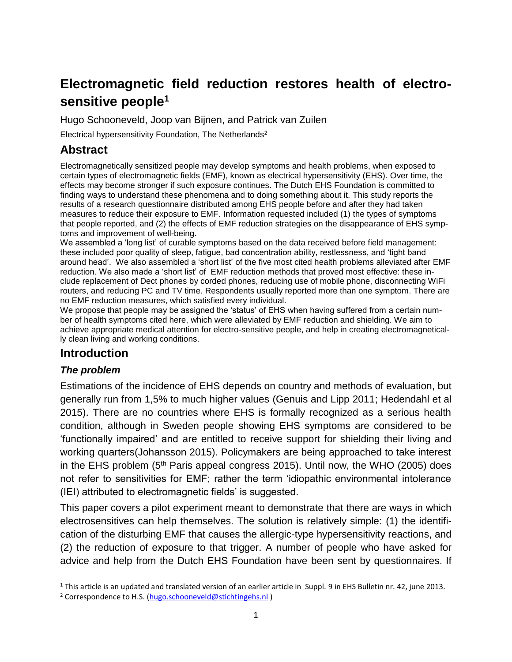# **Electromagnetic field reduction restores health of electrosensitive people<sup>1</sup>**

Hugo Schooneveld, Joop van Bijnen, and Patrick van Zuilen

Electrical hypersensitivity Foundation, The Netherlands<sup>2</sup>

# **Abstract**

Electromagnetically sensitized people may develop symptoms and health problems, when exposed to certain types of electromagnetic fields (EMF), known as electrical hypersensitivity (EHS). Over time, the effects may become stronger if such exposure continues. The Dutch EHS Foundation is committed to finding ways to understand these phenomena and to doing something about it. This study reports the results of a research questionnaire distributed among EHS people before and after they had taken measures to reduce their exposure to EMF. Information requested included (1) the types of symptoms that people reported, and (2) the effects of EMF reduction strategies on the disappearance of EHS symptoms and improvement of well-being.

We assembled a 'long list' of curable symptoms based on the data received before field management: these included poor quality of sleep, fatigue, bad concentration ability, restlessness, and 'tight band around head'. We also assembled a 'short list' of the five most cited health problems alleviated after EMF reduction. We also made a 'short list' of EMF reduction methods that proved most effective: these include replacement of Dect phones by corded phones, reducing use of mobile phone, disconnecting WiFi routers, and reducing PC and TV time. Respondents usually reported more than one symptom. There are no EMF reduction measures, which satisfied every individual.

We propose that people may be assigned the 'status' of EHS when having suffered from a certain number of health symptoms cited here, which were alleviated by EMF reduction and shielding. We aim to achieve appropriate medical attention for electro-sensitive people, and help in creating electromagnetically clean living and working conditions.

# **Introduction**

### *The problem*

l

Estimations of the incidence of EHS depends on country and methods of evaluation, but generally run from 1,5% to much higher values (Genuis and Lipp 2011; Hedendahl et al 2015). There are no countries where EHS is formally recognized as a serious health condition, although in Sweden people showing EHS symptoms are considered to be 'functionally impaired' and are entitled to receive support for shielding their living and working quarters(Johansson 2015). Policymakers are being approached to take interest in the EHS problem  $(5<sup>th</sup>$  Paris appeal congress 2015). Until now, the WHO (2005) does not refer to sensitivities for EMF; rather the term 'idiopathic environmental intolerance (IEI) attributed to electromagnetic fields' is suggested.

This paper covers a pilot experiment meant to demonstrate that there are ways in which electrosensitives can help themselves. The solution is relatively simple: (1) the identification of the disturbing EMF that causes the allergic-type hypersensitivity reactions, and (2) the reduction of exposure to that trigger. A number of people who have asked for advice and help from the Dutch EHS Foundation have been sent by questionnaires. If

 $1$  This article is an updated and translated version of an earlier article in Suppl. 9 in EHS Bulletin nr. 42, june 2013.

<sup>&</sup>lt;sup>2</sup> Correspondence to H.S. [\(hugo.schooneveld@stichtingehs.nl](mailto:hugo.schooneveld@stichtingehs.nl))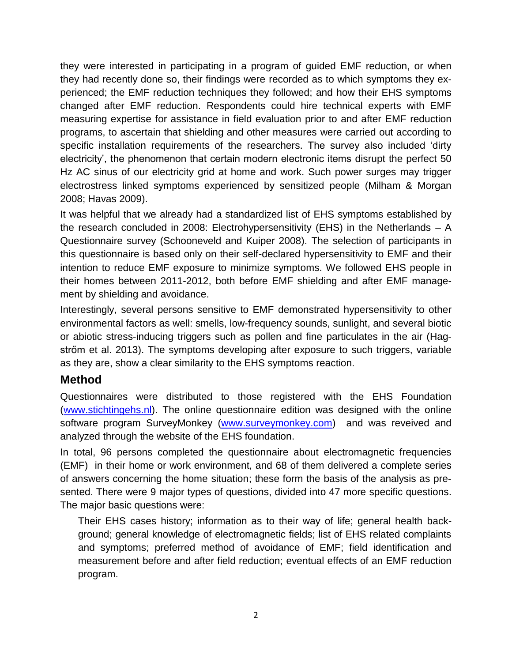they were interested in participating in a program of guided EMF reduction, or when they had recently done so, their findings were recorded as to which symptoms they experienced; the EMF reduction techniques they followed; and how their EHS symptoms changed after EMF reduction. Respondents could hire technical experts with EMF measuring expertise for assistance in field evaluation prior to and after EMF reduction programs, to ascertain that shielding and other measures were carried out according to specific installation requirements of the researchers. The survey also included 'dirty electricity', the phenomenon that certain modern electronic items disrupt the perfect 50 Hz AC sinus of our electricity grid at home and work. Such power surges may trigger electrostress linked symptoms experienced by sensitized people (Milham & Morgan 2008; Havas 2009).

It was helpful that we already had a standardized list of EHS symptoms established by the research concluded in 2008: Electrohypersensitivity (EHS) in the Netherlands – A Questionnaire survey (Schooneveld and Kuiper 2008). The selection of participants in this questionnaire is based only on their self-declared hypersensitivity to EMF and their intention to reduce EMF exposure to minimize symptoms. We followed EHS people in their homes between 2011-2012, both before EMF shielding and after EMF management by shielding and avoidance.

Interestingly, several persons sensitive to EMF demonstrated hypersensitivity to other environmental factors as well: smells, low-frequency sounds, sunlight, and several biotic or abiotic stress-inducing triggers such as pollen and fine particulates in the air (Hagstrőm et al. 2013). The symptoms developing after exposure to such triggers, variable as they are, show a clear similarity to the EHS symptoms reaction.

# **Method**

Questionnaires were distributed to those registered with the EHS Foundation [\(www.stichtingehs.nl\)](http://www.stichtingehs.nl/). The online questionnaire edition was designed with the online software program SurveyMonkey [\(www.surveymonkey.com\)](http://www.surveymonkey.com/) and was reveived and analyzed through the website of the EHS foundation.

In total, 96 persons completed the questionnaire about electromagnetic frequencies (EMF) in their home or work environment, and 68 of them delivered a complete series of answers concerning the home situation; these form the basis of the analysis as presented. There were 9 major types of questions, divided into 47 more specific questions. The major basic questions were:

Their EHS cases history; information as to their way of life; general health background; general knowledge of electromagnetic fields; list of EHS related complaints and symptoms; preferred method of avoidance of EMF; field identification and measurement before and after field reduction; eventual effects of an EMF reduction program.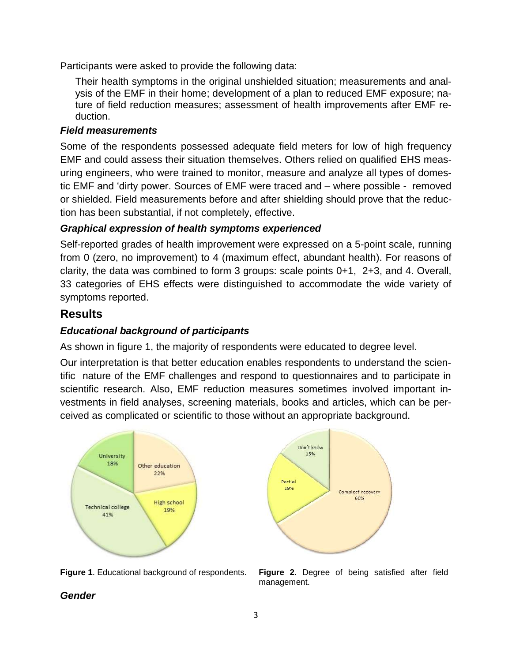Participants were asked to provide the following data:

Their health symptoms in the original unshielded situation; measurements and analysis of the EMF in their home; development of a plan to reduced EMF exposure; nature of field reduction measures; assessment of health improvements after EMF reduction.

#### *Field measurements*

Some of the respondents possessed adequate field meters for low of high frequency EMF and could assess their situation themselves. Others relied on qualified EHS measuring engineers, who were trained to monitor, measure and analyze all types of domestic EMF and 'dirty power. Sources of EMF were traced and – where possible - removed or shielded. Field measurements before and after shielding should prove that the reduction has been substantial, if not completely, effective.

### *Graphical expression of health symptoms experienced*

Self-reported grades of health improvement were expressed on a 5-point scale, running from 0 (zero, no improvement) to 4 (maximum effect, abundant health). For reasons of clarity, the data was combined to form 3 groups: scale points 0+1, 2+3, and 4. Overall, 33 categories of EHS effects were distinguished to accommodate the wide variety of symptoms reported.

### **Results**

### *Educational background of participants*

As shown in figure 1, the majority of respondents were educated to degree level.

Our interpretation is that better education enables respondents to understand the scientific nature of the EMF challenges and respond to questionnaires and to participate in scientific research. Also, EMF reduction measures sometimes involved important investments in field analyses, screening materials, books and articles, which can be perceived as complicated or scientific to those without an appropriate background.





**Figure 1**. Educational background of respondents. **Figure 2**. Degree of being satisfied after field management.

### *Gender*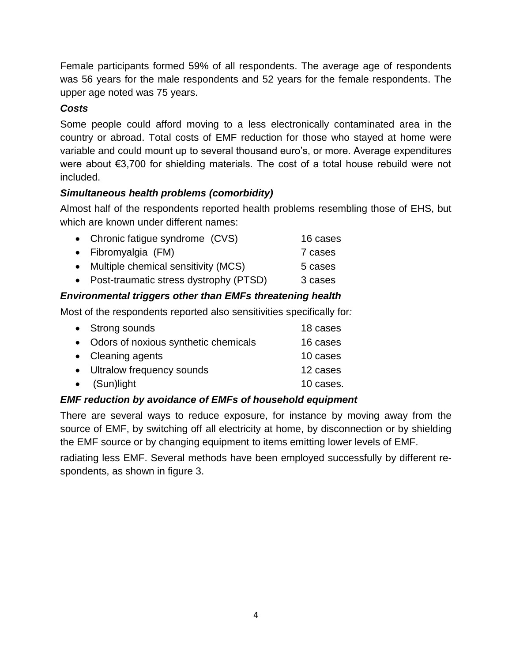Female participants formed 59% of all respondents. The average age of respondents was 56 years for the male respondents and 52 years for the female respondents. The upper age noted was 75 years.

### *Costs*

Some people could afford moving to a less electronically contaminated area in the country or abroad. Total costs of EMF reduction for those who stayed at home were variable and could mount up to several thousand euro's, or more. Average expenditures were about €3,700 for shielding materials. The cost of a total house rebuild were not included.

## *Simultaneous health problems (comorbidity)*

Almost half of the respondents reported health problems resembling those of EHS, but which are known under different names:

| • Chronic fatigue syndrome (CVS)         | 16 cases |
|------------------------------------------|----------|
| • Fibromyalgia (FM)                      | 7 cases  |
| • Multiple chemical sensitivity (MCS)    | 5 cases  |
| • Post-traumatic stress dystrophy (PTSD) | 3 cases  |

## *Environmental triggers other than EMFs threatening health*

Most of the respondents reported also sensitivities specifically for*:*

| • Strong sounds                        | 18 cases  |
|----------------------------------------|-----------|
| • Odors of noxious synthetic chemicals | 16 cases  |
| • Cleaning agents                      | 10 cases  |
| • Ultralow frequency sounds            | 12 cases  |
| $\bullet$ (Sun)light                   | 10 cases. |
|                                        |           |

### *EMF reduction by avoidance of EMFs of household equipment*

There are several ways to reduce exposure, for instance by moving away from the source of EMF, by switching off all electricity at home, by disconnection or by shielding the EMF source or by changing equipment to items emitting lower levels of EMF.

radiating less EMF. Several methods have been employed successfully by different respondents, as shown in figure 3.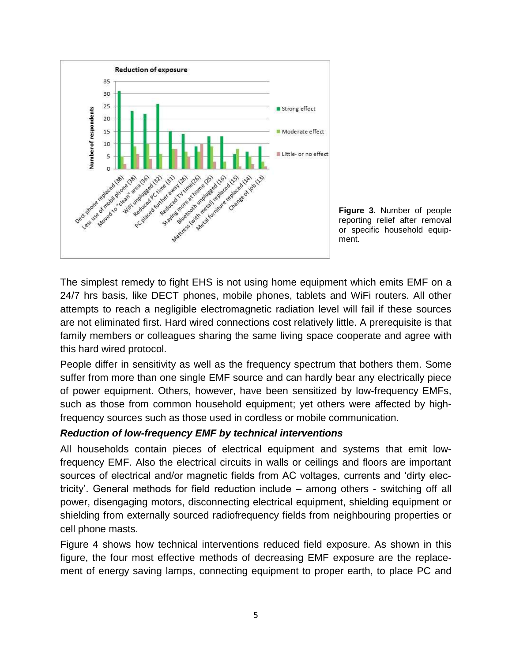



The simplest remedy to fight EHS is not using home equipment which emits EMF on a 24/7 hrs basis, like DECT phones, mobile phones, tablets and WiFi routers. All other attempts to reach a negligible electromagnetic radiation level will fail if these sources are not eliminated first. Hard wired connections cost relatively little. A prerequisite is that family members or colleagues sharing the same living space cooperate and agree with this hard wired protocol.

People differ in sensitivity as well as the frequency spectrum that bothers them. Some suffer from more than one single EMF source and can hardly bear any electrically piece of power equipment. Others, however, have been sensitized by low-frequency EMFs, such as those from common household equipment; yet others were affected by highfrequency sources such as those used in cordless or mobile communication.

#### *Reduction of low-frequency EMF by technical interventions*

All households contain pieces of electrical equipment and systems that emit lowfrequency EMF. Also the electrical circuits in walls or ceilings and floors are important sources of electrical and/or magnetic fields from AC voltages, currents and 'dirty electricity'. General methods for field reduction include – among others - switching off all power, disengaging motors, disconnecting electrical equipment, shielding equipment or shielding from externally sourced radiofrequency fields from neighbouring properties or cell phone masts.

Figure 4 shows how technical interventions reduced field exposure. As shown in this figure, the four most effective methods of decreasing EMF exposure are the replacement of energy saving lamps, connecting equipment to proper earth, to place PC and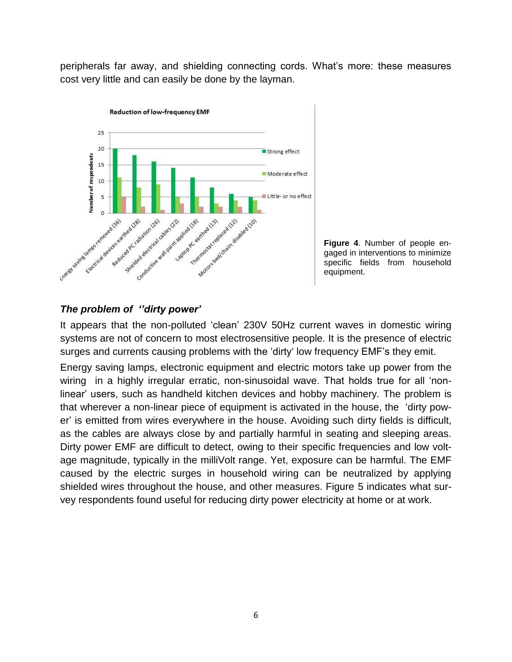peripherals far away, and shielding connecting cords. What's more: these measures cost very little and can easily be done by the layman.



**Figure 4**. Number of people engaged in interventions to minimize specific fields from household equipment.

### *The problem of ''dirty power'*

It appears that the non-polluted 'clean' 230V 50Hz current waves in domestic wiring systems are not of concern to most electrosensitive people. It is the presence of electric surges and currents causing problems with the 'dirty' low frequency EMF's they emit.

Energy saving lamps, electronic equipment and electric motors take up power from the wiring in a highly irregular erratic, non-sinusoidal wave. That holds true for all 'nonlinear' users, such as handheld kitchen devices and hobby machinery. The problem is that wherever a non-linear piece of equipment is activated in the house, the 'dirty power' is emitted from wires everywhere in the house. Avoiding such dirty fields is difficult, as the cables are always close by and partially harmful in seating and sleeping areas. Dirty power EMF are difficult to detect, owing to their specific frequencies and low voltage magnitude, typically in the milliVolt range. Yet, exposure can be harmful. The EMF caused by the electric surges in household wiring can be neutralized by applying shielded wires throughout the house, and other measures. Figure 5 indicates what survey respondents found useful for reducing dirty power electricity at home or at work.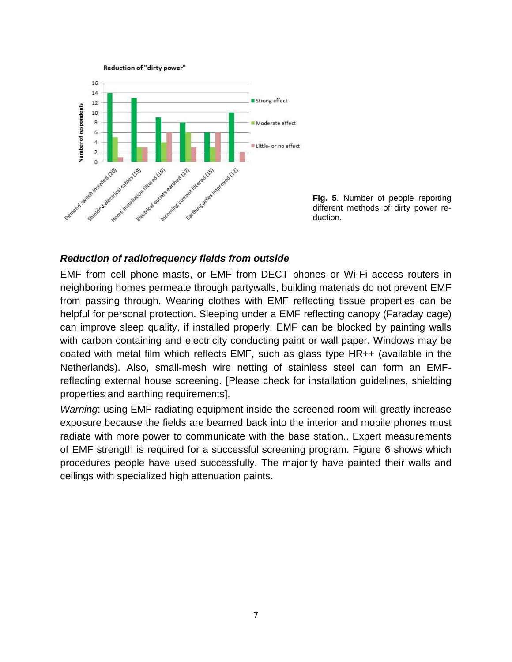



**Fig. 5**. Number of people reporting different methods of dirty power reduction.

#### *Reduction of radiofrequency fields from outside*

EMF from cell phone masts, or EMF from DECT phones or Wi-Fi access routers in neighboring homes permeate through partywalls, building materials do not prevent EMF from passing through. Wearing clothes with EMF reflecting tissue properties can be helpful for personal protection. Sleeping under a EMF reflecting canopy (Faraday cage) can improve sleep quality, if installed properly. EMF can be blocked by painting walls with carbon containing and electricity conducting paint or wall paper. Windows may be coated with metal film which reflects EMF, such as glass type HR++ (available in the Netherlands). Also, small-mesh wire netting of stainless steel can form an EMFreflecting external house screening. [Please check for installation guidelines, shielding properties and earthing requirements].

*Warning*: using EMF radiating equipment inside the screened room will greatly increase exposure because the fields are beamed back into the interior and mobile phones must radiate with more power to communicate with the base station.. Expert measurements of EMF strength is required for a successful screening program. Figure 6 shows which procedures people have used successfully. The majority have painted their walls and ceilings with specialized high attenuation paints.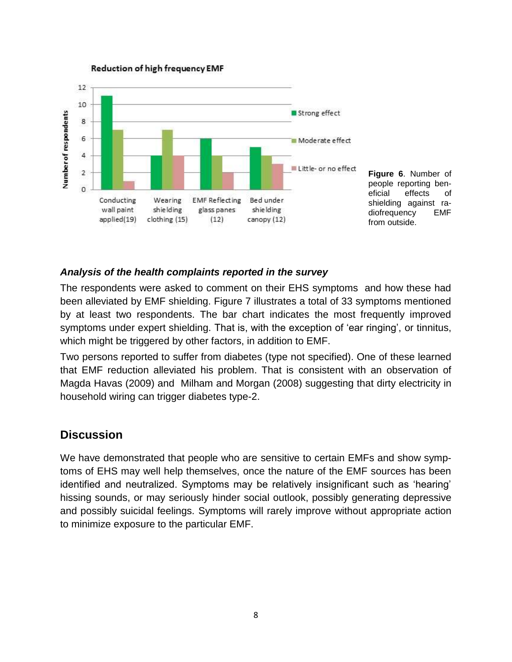

**Reduction of high frequency EMF** 

**Figure 6**. Number of people reporting beneficial effects of shielding against radiofrequency EMF from outside.

#### *Analysis of the health complaints reported in the survey*

The respondents were asked to comment on their EHS symptoms and how these had been alleviated by EMF shielding. Figure 7 illustrates a total of 33 symptoms mentioned by at least two respondents. The bar chart indicates the most frequently improved symptoms under expert shielding. That is, with the exception of 'ear ringing', or tinnitus, which might be triggered by other factors, in addition to EMF.

Two persons reported to suffer from diabetes (type not specified). One of these learned that EMF reduction alleviated his problem. That is consistent with an observation of Magda Havas (2009) and Milham and Morgan (2008) suggesting that dirty electricity in household wiring can trigger diabetes type-2.

#### **Discussion**

We have demonstrated that people who are sensitive to certain EMFs and show symptoms of EHS may well help themselves, once the nature of the EMF sources has been identified and neutralized. Symptoms may be relatively insignificant such as 'hearing' hissing sounds, or may seriously hinder social outlook, possibly generating depressive and possibly suicidal feelings. Symptoms will rarely improve without appropriate action to minimize exposure to the particular EMF.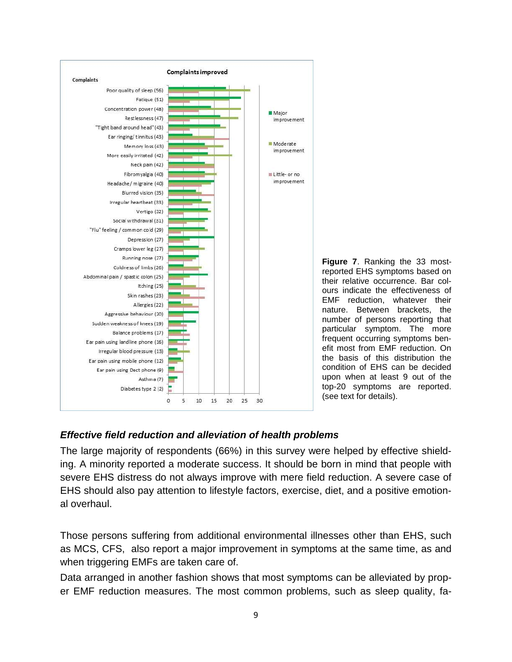

**Figure 7**. Ranking the 33 mostreported EHS symptoms based on their relative occurrence. Bar colours indicate the effectiveness of EMF reduction, whatever their nature. Between brackets, the number of persons reporting that particular symptom. The more frequent occurring symptoms benefit most from EMF reduction. On the basis of this distribution the condition of EHS can be decided upon when at least 9 out of the top-20 symptoms are reported. (see text for details).

#### *Effective field reduction and alleviation of health problems*

The large majority of respondents (66%) in this survey were helped by effective shielding. A minority reported a moderate success. It should be born in mind that people with severe EHS distress do not always improve with mere field reduction. A severe case of EHS should also pay attention to lifestyle factors, exercise, diet, and a positive emotional overhaul.

Those persons suffering from additional environmental illnesses other than EHS, such as MCS, CFS, also report a major improvement in symptoms at the same time, as and when triggering EMFs are taken care of.

Data arranged in another fashion shows that most symptoms can be alleviated by proper EMF reduction measures. The most common problems, such as sleep quality, fa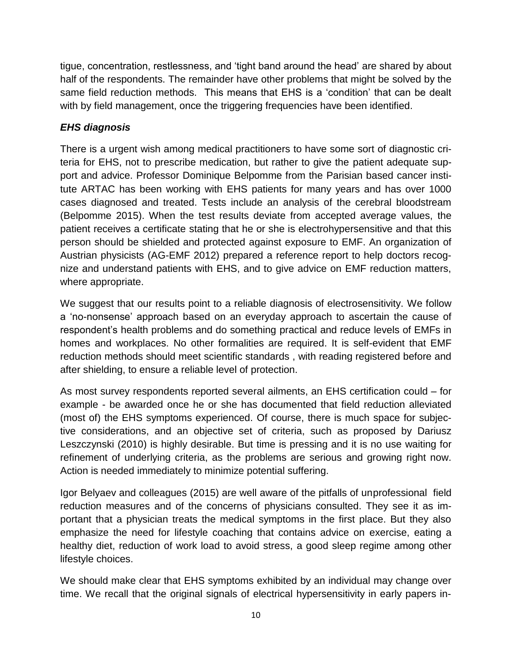tigue, concentration, restlessness, and 'tight band around the head' are shared by about half of the respondents. The remainder have other problems that might be solved by the same field reduction methods. This means that EHS is a 'condition' that can be dealt with by field management, once the triggering frequencies have been identified.

### *EHS diagnosis*

There is a urgent wish among medical practitioners to have some sort of diagnostic criteria for EHS, not to prescribe medication, but rather to give the patient adequate support and advice. Professor Dominique Belpomme from the Parisian based cancer institute ARTAC has been working with EHS patients for many years and has over 1000 cases diagnosed and treated. Tests include an analysis of the cerebral bloodstream (Belpomme 2015). When the test results deviate from accepted average values, the patient receives a certificate stating that he or she is electrohypersensitive and that this person should be shielded and protected against exposure to EMF. An organization of Austrian physicists (AG-EMF 2012) prepared a reference report to help doctors recognize and understand patients with EHS, and to give advice on EMF reduction matters, where appropriate.

We suggest that our results point to a reliable diagnosis of electrosensitivity. We follow a 'no-nonsense' approach based on an everyday approach to ascertain the cause of respondent's health problems and do something practical and reduce levels of EMFs in homes and workplaces. No other formalities are required. It is self-evident that EMF reduction methods should meet scientific standards , with reading registered before and after shielding, to ensure a reliable level of protection.

As most survey respondents reported several ailments, an EHS certification could – for example - be awarded once he or she has documented that field reduction alleviated (most of) the EHS symptoms experienced. Of course, there is much space for subjective considerations, and an objective set of criteria, such as proposed by Dariusz Leszczynski (2010) is highly desirable. But time is pressing and it is no use waiting for refinement of underlying criteria, as the problems are serious and growing right now. Action is needed immediately to minimize potential suffering.

Igor Belyaev and colleagues (2015) are well aware of the pitfalls of unprofessional field reduction measures and of the concerns of physicians consulted. They see it as important that a physician treats the medical symptoms in the first place. But they also emphasize the need for lifestyle coaching that contains advice on exercise, eating a healthy diet, reduction of work load to avoid stress, a good sleep regime among other lifestyle choices.

We should make clear that EHS symptoms exhibited by an individual may change over time. We recall that the original signals of electrical hypersensitivity in early papers in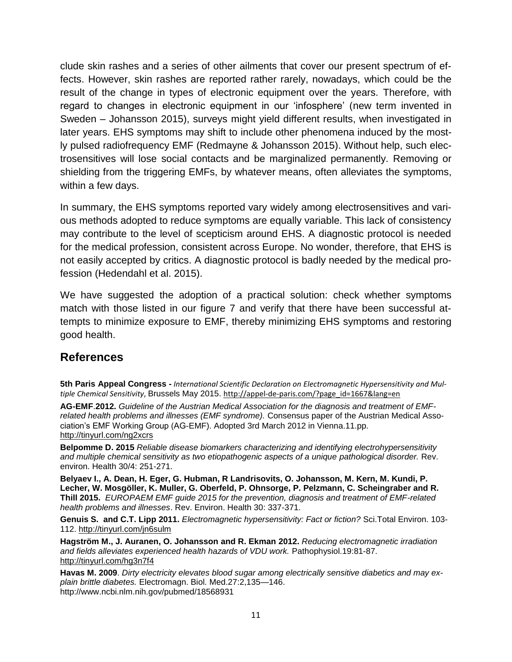clude skin rashes and a series of other ailments that cover our present spectrum of effects. However, skin rashes are reported rather rarely, nowadays, which could be the result of the change in types of electronic equipment over the years. Therefore, with regard to changes in electronic equipment in our 'infosphere' (new term invented in Sweden – Johansson 2015), surveys might yield different results, when investigated in later years. EHS symptoms may shift to include other phenomena induced by the mostly pulsed radiofrequency EMF (Redmayne & Johansson 2015). Without help, such electrosensitives will lose social contacts and be marginalized permanently. Removing or shielding from the triggering EMFs, by whatever means, often alleviates the symptoms, within a few days.

In summary, the EHS symptoms reported vary widely among electrosensitives and various methods adopted to reduce symptoms are equally variable. This lack of consistency may contribute to the level of scepticism around EHS. A diagnostic protocol is needed for the medical profession, consistent across Europe. No wonder, therefore, that EHS is not easily accepted by critics. A diagnostic protocol is badly needed by the medical profession (Hedendahl et al. 2015).

We have suggested the adoption of a practical solution: check whether symptoms match with those listed in our figure 7 and verify that there have been successful attempts to minimize exposure to EMF, thereby minimizing EHS symptoms and restoring good health.

# **References**

**5th Paris Appeal Congress -** *International Scientific Declaration on Electromagnetic Hypersensitivity and Multiple Chemical Sensitivity*, Brussels May 2015. [http://appel-de-paris.com/?page\\_id=1667&lang=en](http://appel-de-paris.com/?page_id=1667&lang=en)

**AG-EMF**.**2012.** *Guideline of the Austrian Medical Association for the diagnosis and treatment of EMFrelated health problems and illnesses (EMF syndrome).* Consensus paper of the Austrian Medical Association's EMF Working Group (AG-EMF). Adopted 3rd March 2012 in Vienna.11.pp. <http://tinyurl.com/ng2xcrs>

**Belpomme D. 2015** *Reliable disease biomarkers characterizing and identifying electrohypersensitivity and multiple chemical sensitivity as two etiopathogenic aspects of a unique pathological disorder.* Rev. environ. Health 30/4: 251-271.

**Belyaev I., A. Dean, H. Eger, G. Hubman, R Landrisovits, O. Johansson, M. Kern, M. Kundi, P. Lecher, W. Mosgöller, K. Muller, G. Oberfeld, P. Ohnsorge, P. Pelzmann, C. Scheingraber and R. Thill 2015.** *EUROPAEM EMF guide 2015 for the prevention, diagnosis and treatment of EMF-related health problems and illnesses*. Rev. Environ. Health 30: 337-371.

**Genuis S. and C.T. Lipp 2011.** *Electromagnetic hypersensitivity: Fact or fiction?* Sci.Total Environ. 103- 112.<http://tinyurl.com/jn6sulm>

**Hagström M., J. Auranen, O. Johansson and R. Ekman 2012.** *Reducing electromagnetic irradiation*  and fields alleviates experienced health hazards of VDU work. Pathophysiol.19:81-87. <http://tinyurl.com/hg3n7f4>

**Havas M. 2009**. *Dirty electricity elevates blood sugar among electrically sensitive diabetics and may explain brittle diabetes.* Electromagn. Biol. Med.27:2,135—146. http://www.ncbi.nlm.nih.gov/pubmed/18568931